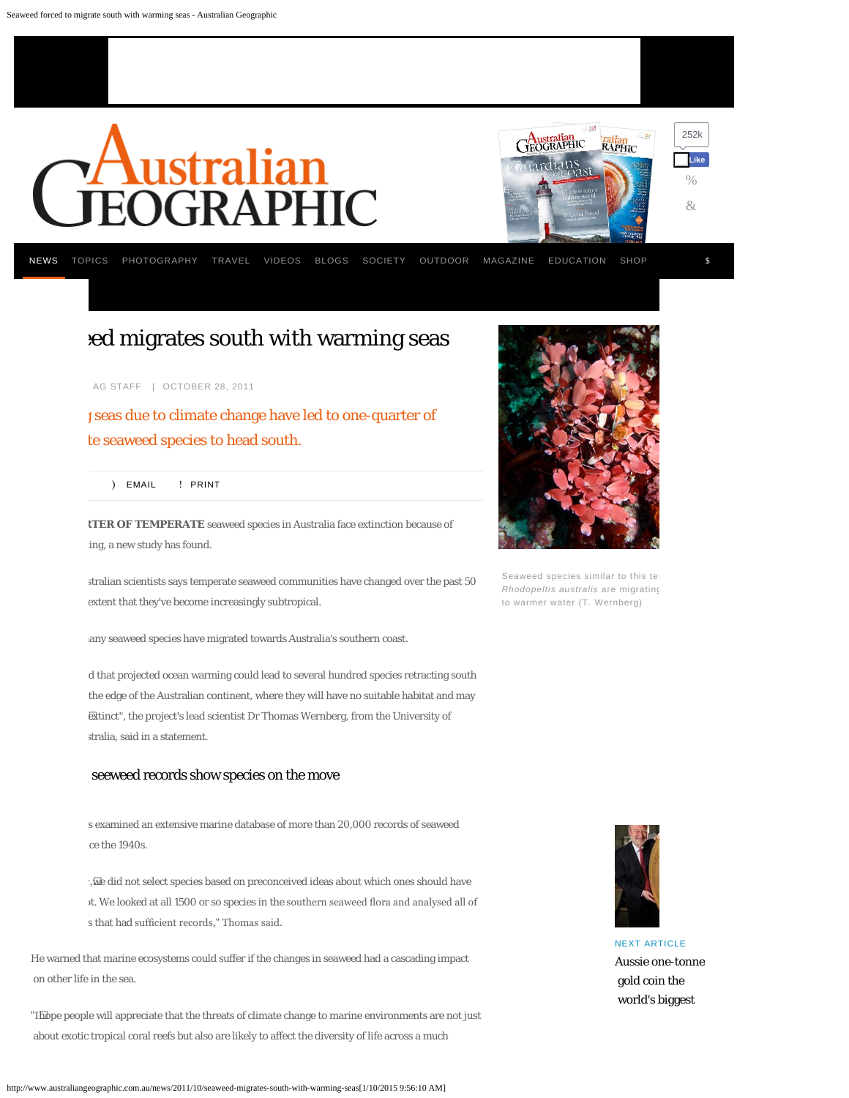<span id="page-0-0"></span>

# ed migrates south with warming seas

AG STAFF | OCTOBER 28, 2011

seas due to climate change have led to one-quarter of te seaweed species to head south.

[\)](mailto:?body=http%3A%2F%2Fwww.australiangeographic.com.au%2Fnews%2F2011%2F10%2Fseaweed-migrates-south-with-warming-seas%23.Vgv_ZRVzur4.mailto&subject=Seaweed%20forced%20to%20migrate%20south%20with%20warming%20seas%20-%20Australian%20Geographic) [EMAIL](mailto:?body=http%3A%2F%2Fwww.australiangeographic.com.au%2Fnews%2F2011%2F10%2Fseaweed-migrates-south-with-warming-seas%23.Vgv_ZRVzur4.mailto&subject=Seaweed%20forced%20to%20migrate%20south%20with%20warming%20seas%20-%20Australian%20Geographic) [!](javascript:window.print()) [PRINT](javascript:window.print())

**CTER OF TEMPERATE** seaweed species in Australia face extinction because of ing, a new study has found.

stralian scientists says temperate seaweed communities have changed over the past 50 extent that they've become increasingly subtropical.

any seaweed species have migrated towards Australia's southern coast.

d that projected ocean warming could lead to several hundred species retracting south the edge of the Australian continent, where they will have no suitable habitat and may  $\rm \bar{\mathrm{ext}}$ inct", the project's lead scientist Dr Thomas Wernberg, from the University of stralia, said in a statement.

#### seeweed records show species on the move

s examined an extensive marine database of more than 20,000 records of seaweed ce the 1940s.

', $\overline{\text{w}}$ e did not select species based on preconceived ideas about which ones should have it. We looked at all 1500 or so species in the southern seaweed flora and analysed all of s that had sufficient records," Thomas said.

He warned that marine ecosystems could suffer if the changes in seaweed had a cascading impact on other life in the sea.

"I hope people will appreciate that the threats of climate change to marine environments are not just about exotic tropical coral reefs but also are likely to affect the diversity of life across a much



Seaweed species similar to this te *Rhodopeltis australis* are migrating to warmer water (T. Wernberg)



[NEXT ARTICLE](http://www.australiangeographic.com.au/news/2011/10/aussie-one-tonne-gold-coin-the-worlds-biggest) [Aussie one-tonne](http://www.australiangeographic.com.au/news/2011/10/aussie-one-tonne-gold-coin-the-worlds-biggest)  [gold coin the](http://www.australiangeographic.com.au/news/2011/10/aussie-one-tonne-gold-coin-the-worlds-biggest)  [world's biggest](http://www.australiangeographic.com.au/news/2011/10/aussie-one-tonne-gold-coin-the-worlds-biggest)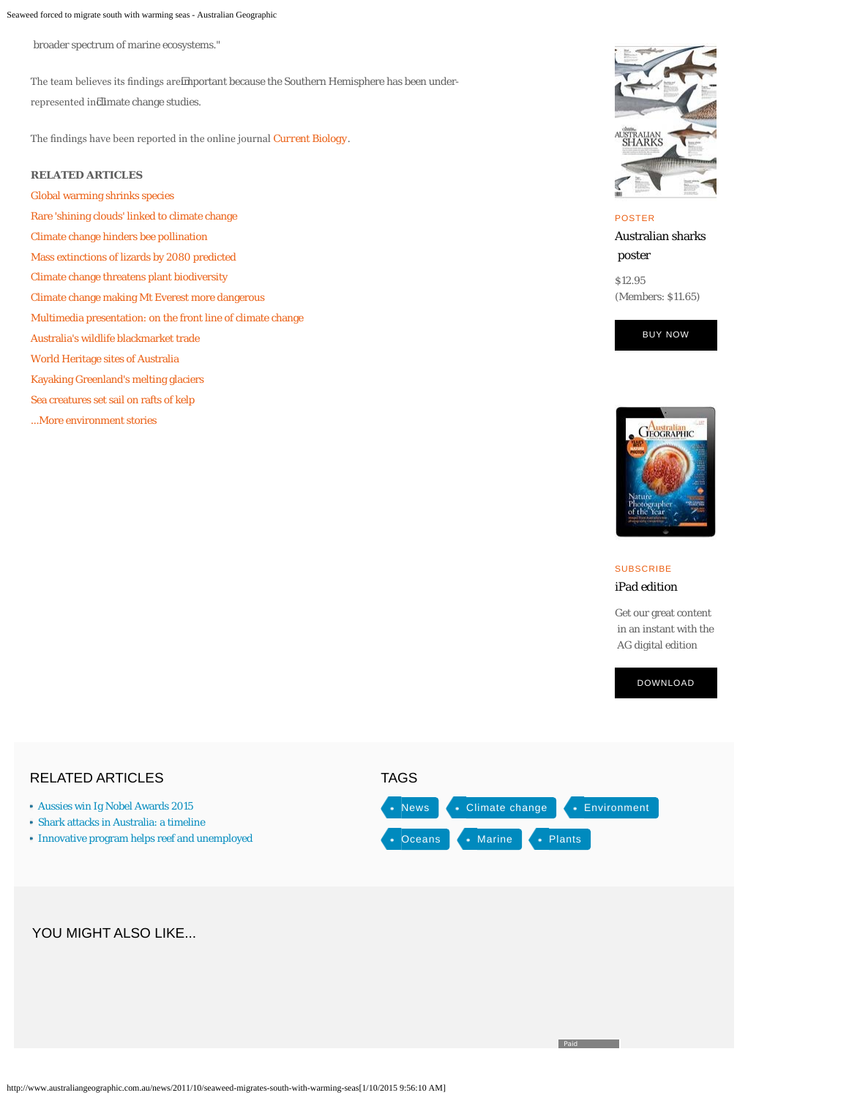Seaweed forced to migrate south with warming seas - Australian Geographic

broader spectrum of marine ecosystems."

The team believes its fndings are important because the Southern Hemisphere has been under-

represented in climate change studies.

The fndings have been reported in the online journal *[Current Biology](http://www.cell.com/current-biology/abstract/S0960-9822%2811%2901030-X)*.

#### **RELATED ARTICLES**

[Global warming shrinks species](http://www.australiangeographic.com.au/journal/global-warming-shrinks-species.htm) [Rare 'shining clouds' linked to climate change](http://www.australiangeographic.com.au/journal/rare-shining-clouds-linked-to-climate-change.htm) [Climate change hinders bee pollination](http://www.australiangeographic.com.au/journal/climate-change-hinders-bee-pollination.htm) [Mass extinctions of lizards by 2080 predicted](http://www.australiangeographic.com.au/journal/mass-extinction-of-lizards-by-2080.htm) [Climate change threatens plant biodiversity](http://www.australiangeographic.com.au/journal/warming-world-threatens-plant-diversity.htm) [Climate change making Mt Everest more dangerous](http://www.australiangeographic.com.au/journal/climate-change-making-everest-more-dangerous-.htm) [Multimedia presentation: on the front line of climate change](http://www.australiangeographic.com.au/journal/on-the-frontline-climate-change-in-the-south-pacific.htm) [Australia's wildlife blackmarket trade](http://www.australiangeographic.com.au/journal/australias-wildlife-blackmarket-trade.htm) [World Heritage sites of Australia](http://www.australiangeographic.com.au/journal/australias-world-heritage-sites.htm) [Kayaking Greenland's melting glaciers](http://www.australiangeographic.com.au/journal/kayaking-greenlands-melting-glaciers.htm) [Sea creatures set sail on rafts of kelp](http://www.australiangeographic.com.au/journal/sea-creatures-travel-across-oceans-on-rafts-of-kelp.htm) [...More environment stories](http://www.australiangeographic.com.au/article-index.htm?tags=environment)



### [POSTER](https://www.magshop.com.au/Australian-Sharks-Poster?utm_source=AGwebsite&utm_medium=news&utm_campaign=POD)

[Australian sharks](https://www.magshop.com.au/Australian-Sharks-Poster?utm_source=AGwebsite&utm_medium=news&utm_campaign=POD)  [poster](https://www.magshop.com.au/Australian-Sharks-Poster?utm_source=AGwebsite&utm_medium=news&utm_campaign=POD)

[\\$12.95](https://www.magshop.com.au/Australian-Sharks-Poster?utm_source=AGwebsite&utm_medium=news&utm_campaign=POD)  [\(Members: \\$11.65\)](https://www.magshop.com.au/Australian-Sharks-Poster?utm_source=AGwebsite&utm_medium=news&utm_campaign=POD)





**[SUBSCRIBE](https://www.magshop.com.au/digital/subscribe/agdigital?utm_source=WEBSITE&utm_medium=NEWS&utm_campaign=POD)** [iPad edition](https://www.magshop.com.au/digital/subscribe/agdigital?utm_source=WEBSITE&utm_medium=NEWS&utm_campaign=POD)

**Paid** 

[Get our great content](https://www.magshop.com.au/digital/subscribe/agdigital?utm_source=WEBSITE&utm_medium=NEWS&utm_campaign=POD)  [in an instant with the](https://www.magshop.com.au/digital/subscribe/agdigital?utm_source=WEBSITE&utm_medium=NEWS&utm_campaign=POD)  [AG digital edition](https://www.magshop.com.au/digital/subscribe/agdigital?utm_source=WEBSITE&utm_medium=NEWS&utm_campaign=POD)

[DOWNLOAD](https://www.magshop.com.au/digital/subscribe/agdigital?utm_source=WEBSITE&utm_medium=NEWS&utm_campaign=POD)

## RELATED ARTICLES [Aussies win Ig Nobel Awards 2015](http://www.australiangeographic.com.au/news/2015/09/aussies-win-ig-nobel-awards-again) [Shark attacks in Australia: a timeline](http://www.australiangeographic.com.au/topics/science-environment/2015/07/shark-attacks-in-australia-a-timeline) [Innovative program helps reef and unemployed](http://www.australiangeographic.com.au/topics/science-environment/2015/07/innovative-program-helps-reef-and-unemployed) • [News](http://www.australiangeographic.com.au/search/tag-search?tags=News) • [Climate change](http://www.australiangeographic.com.au/search/tag-search?tags=climate+change) • [Environment](http://www.australiangeographic.com.au/search/tag-search?tags=environment)  $\bullet$  [Oceans](http://www.australiangeographic.com.au/search/tag-search?tags=oceans)  $\bullet$  [Marine](http://www.australiangeographic.com.au/search/tag-search?tags=marine)  $\bullet$  [Plants](http://www.australiangeographic.com.au/search/tag-search?tags=plants) TAGS YOU MIGHT ALSO LIKE...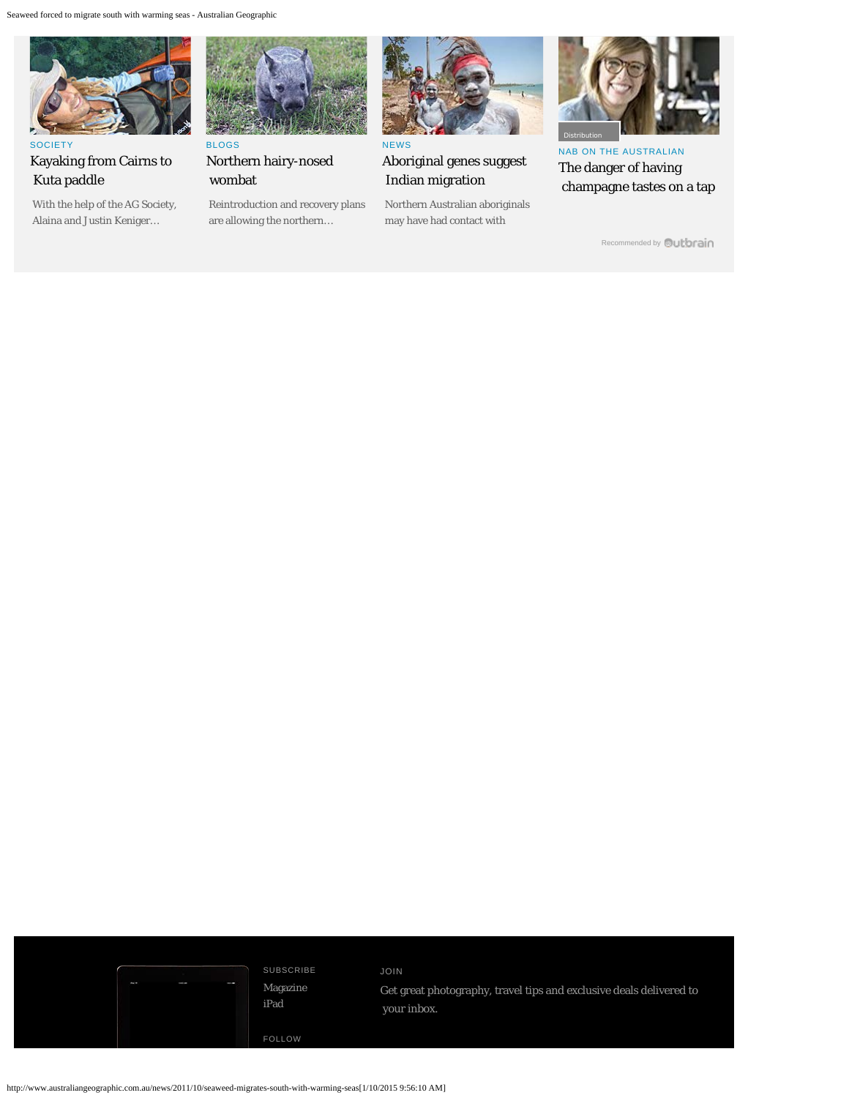

SOCIET [Kayaking from Cairns to](http://www.australiangeographic.com.au/society/sponsored-projects/2012/03/kayaking-backwards-the-cairns-to-kuta-paddle/)  [Kuta paddle](http://www.australiangeographic.com.au/society/sponsored-projects/2012/03/kayaking-backwards-the-cairns-to-kuta-paddle/)

 [With the help of the AG Society,](http://www.australiangeographic.com.au/society/sponsored-projects/2012/03/kayaking-backwards-the-cairns-to-kuta-paddle/)  [Alaina and Justin Keniger…](http://www.australiangeographic.com.au/society/sponsored-projects/2012/03/kayaking-backwards-the-cairns-to-kuta-paddle/)



[Northern hairy-nosed](http://www.australiangeographic.com.au/blogs/australian-endangered-species/2015/09/northern-hairy-nosed-wombat)  [wombat](http://www.australiangeographic.com.au/blogs/australian-endangered-species/2015/09/northern-hairy-nosed-wombat)

 [Reintroduction and recovery plans](http://www.australiangeographic.com.au/blogs/australian-endangered-species/2015/09/northern-hairy-nosed-wombat)  [are allowing the northern…](http://www.australiangeographic.com.au/blogs/australian-endangered-species/2015/09/northern-hairy-nosed-wombat)



[Aboriginal genes suggest](http://www.australiangeographic.com.au/news/2013/01/aboriginal-genes-suggest-indian-migration/)  [Indian migration](http://www.australiangeographic.com.au/news/2013/01/aboriginal-genes-suggest-indian-migration/)

 [Northern Australian aboriginals](http://www.australiangeographic.com.au/news/2013/01/aboriginal-genes-suggest-indian-migration/)  [may have had contact with](http://www.australiangeographic.com.au/news/2013/01/aboriginal-genes-suggest-indian-migration/)



[NAB ON THE AUSTRALIAN](http://www.theaustralian.com.au/business/wealth/not-making-a-decision-is-still-making-a-decision/story-fnk8yxmp-1227498421515) [The danger of having](http://www.theaustralian.com.au/business/wealth/not-making-a-decision-is-still-making-a-decision/story-fnk8yxmp-1227498421515)  [champagne tastes on a tap](http://www.theaustralian.com.au/business/wealth/not-making-a-decision-is-still-making-a-decision/story-fnk8yxmp-1227498421515)

[Recommended by](#page-0-0) **Qutbrain** 

SUBSCRIBE [Magazine](https://www.magshop.com.au/ag/HWEB128) [iPad](https://www.magshop.com.au/digital/subscribe/agdigital)

FOLLOW

JOIN Get great photography, travel tips and exclusive deals delivered to your inbox.